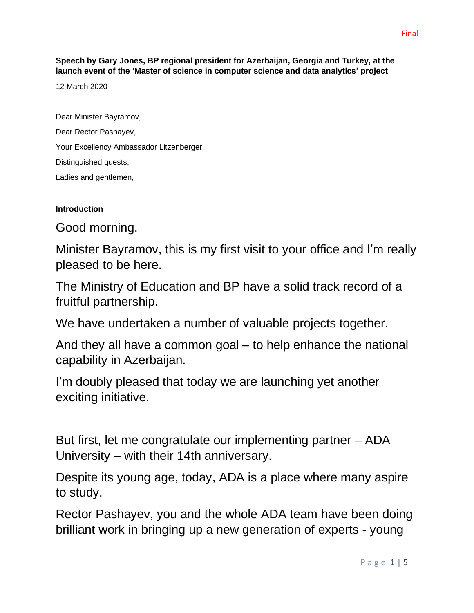**Speech by Gary Jones, BP regional president for Azerbaijan, Georgia and Turkey, at the launch event of the 'Master of science in computer science and data analytics' project**

12 March 2020

Dear Minister Bayramov, Dear Rector Pashayev, Your Excellency Ambassador Litzenberger, Distinguished guests, Ladies and gentlemen,

## **Introduction**

Good morning.

Minister Bayramov, this is my first visit to your office and I'm really pleased to be here.

The Ministry of Education and BP have a solid track record of a fruitful partnership.

We have undertaken a number of valuable projects together.

And they all have a common goal – to help enhance the national capability in Azerbaijan.

I'm doubly pleased that today we are launching yet another exciting initiative.

But first, let me congratulate our implementing partner – ADA University – with their 14th anniversary.

Despite its young age, today, ADA is a place where many aspire to study.

Rector Pashayev, you and the whole ADA team have been doing brilliant work in bringing up a new generation of experts - young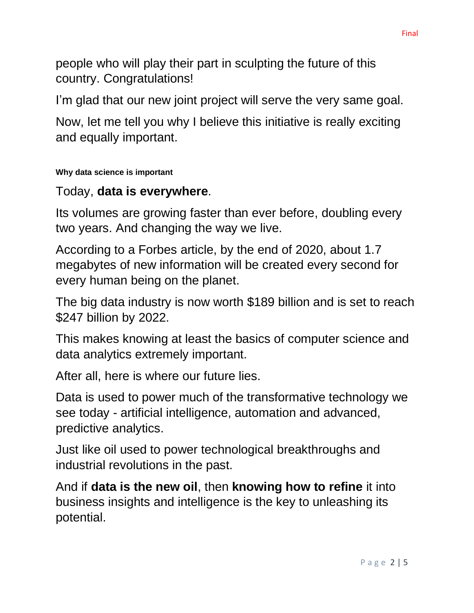people who will play their part in sculpting the future of this country. Congratulations!

I'm glad that our new joint project will serve the very same goal.

Now, let me tell you why I believe this initiative is really exciting and equally important.

## **Why data science is important**

## Today, **data is everywhere**.

Its volumes are growing faster than ever before, doubling every two years. And changing the way we live.

According to a [Forbes](http://www.forbes.com/sites/bernardmarr/2015/09/30/big-data-20-mind-boggling-facts-everyone-must-read/#7302789a6c1d) article, by the end of 2020, about 1.7 megabytes of new information will be created every second for every human being on the planet.

The big data industry is now worth \$189 billion and is set to reach \$247 billion by 2022.

This makes knowing at least the basics of computer science and data analytics extremely important.

After all, here is where our future lies.

Data is used to power much of the transformative technology we see today - artificial intelligence, automation and advanced, predictive analytics.

Just like oil used to power technological breakthroughs and industrial revolutions in the past.

And if **data is the new oil**, then **knowing how to refine** it into business insights and intelligence is the key to unleashing its potential.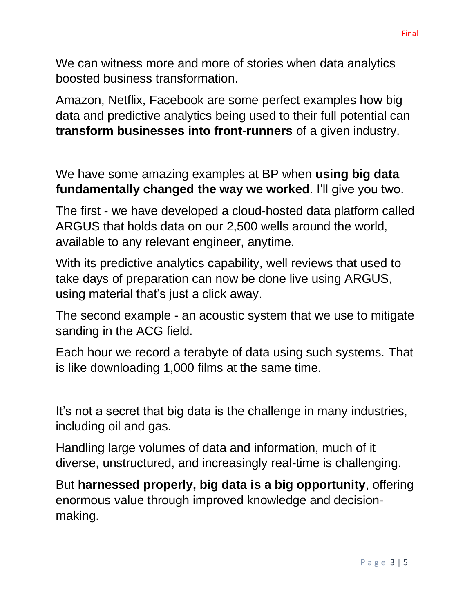We can witness more and more of stories when data analytics boosted business transformation.

Amazon, Netflix, Facebook are some perfect examples how big data and predictive analytics being used to their full potential can **transform businesses into front-runners** of a given industry.

We have some amazing examples at BP when **using big data fundamentally changed the way we worked**. I'll give you two.

The first - we have developed a cloud-hosted data platform called ARGUS that holds data on our 2,500 wells around the world, available to any relevant engineer, anytime.

With its predictive analytics capability, well reviews that used to take days of preparation can now be done live using ARGUS, using material that's just a click away.

The second example - an acoustic system that we use to mitigate sanding in the ACG field.

Each hour we record a terabyte of data using such systems. That is like downloading 1,000 films at the same time.

It's not a secret that big data is the challenge in many industries, including oil and gas.

Handling large volumes of data and information, much of it diverse, unstructured, and increasingly real-time is challenging.

But **harnessed properly, big data is a big opportunity**, offering enormous value through improved knowledge and decisionmaking.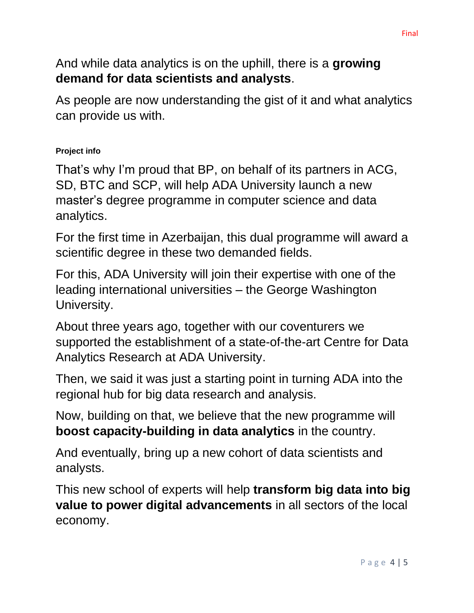And while data analytics is on the uphill, there is a **growing demand for data scientists and analysts**.

As people are now understanding the gist of it and what analytics can provide us with.

## **Project info**

That's why I'm proud that BP, on behalf of its partners in ACG, SD, BTC and SCP, will help ADA University launch a new master's degree programme in computer science and data analytics.

For the first time in Azerbaijan, this dual programme will award a scientific degree in these two demanded fields.

For this, ADA University will join their expertise with one of the leading international universities – the George Washington University.

About three years ago, together with our coventurers we supported the establishment of a state-of-the-art Centre for Data Analytics Research at ADA University.

Then, we said it was just a starting point in turning ADA into the regional hub for big data research and analysis.

Now, building on that, we believe that the new programme will **boost capacity-building in data analytics** in the country.

And eventually, bring up a new cohort of data scientists and analysts.

This new school of experts will help **transform big data into big value to power digital advancements** in all sectors of the local economy.